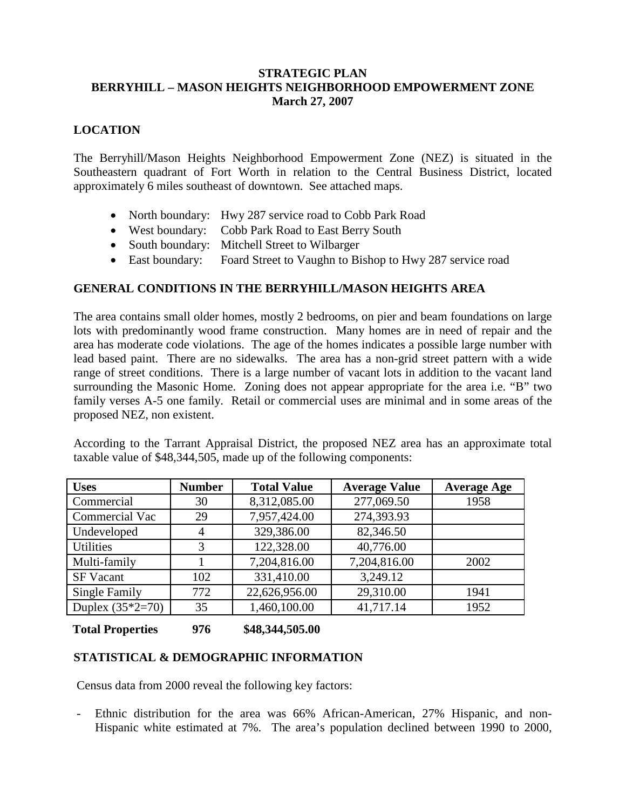#### **STRATEGIC PLAN BERRYHILL – MASON HEIGHTS NEIGHBORHOOD EMPOWERMENT ZONE March 27, 2007**

## **LOCATION**

The Berryhill/Mason Heights Neighborhood Empowerment Zone (NEZ) is situated in the Southeastern quadrant of Fort Worth in relation to the Central Business District, located approximately 6 miles southeast of downtown. See attached maps.

- North boundary: Hwy 287 service road to Cobb Park Road
- West boundary: Cobb Park Road to East Berry South
- South boundary: Mitchell Street to Wilbarger
- East boundary: Foard Street to Vaughn to Bishop to Hwy 287 service road

# **GENERAL CONDITIONS IN THE BERRYHILL/MASON HEIGHTS AREA**

The area contains small older homes, mostly 2 bedrooms, on pier and beam foundations on large lots with predominantly wood frame construction. Many homes are in need of repair and the area has moderate code violations. The age of the homes indicates a possible large number with lead based paint. There are no sidewalks. The area has a non-grid street pattern with a wide range of street conditions. There is a large number of vacant lots in addition to the vacant land surrounding the Masonic Home. Zoning does not appear appropriate for the area i.e. "B" two family verses A-5 one family. Retail or commercial uses are minimal and in some areas of the proposed NEZ, non existent.

According to the Tarrant Appraisal District, the proposed NEZ area has an approximate total taxable value of \$48,344,505, made up of the following components:

| <b>Uses</b>        | <b>Number</b> | <b>Total Value</b> | <b>Average Value</b> | <b>Average Age</b> |
|--------------------|---------------|--------------------|----------------------|--------------------|
| Commercial         | 30            | 8,312,085.00       | 277,069.50           | 1958               |
| Commercial Vac     | 29            | 7,957,424.00       | 274,393.93           |                    |
| Undeveloped        | 4             | 329,386.00         | 82,346.50            |                    |
| <b>Utilities</b>   | 3             | 122,328.00         | 40,776.00            |                    |
| Multi-family       |               | 7,204,816.00       | 7,204,816.00         | 2002               |
| <b>SF Vacant</b>   | 102           | 331,410.00         | 3,249.12             |                    |
| Single Family      | 772           | 22,626,956.00      | 29,310.00            | 1941               |
| Duplex $(35*2=70)$ | 35            | 1,460,100.00       | 41,717.14            | 1952               |

### **Total Properties 976 \$48,344,505.00**

### **STATISTICAL & DEMOGRAPHIC INFORMATION**

Census data from 2000 reveal the following key factors:

- Ethnic distribution for the area was 66% African-American, 27% Hispanic, and non-Hispanic white estimated at 7%. The area's population declined between 1990 to 2000,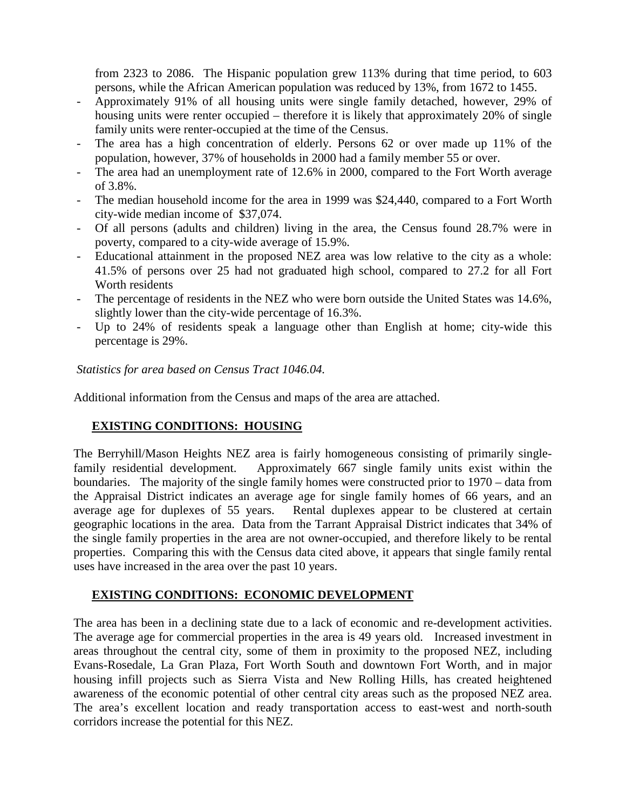from 2323 to 2086. The Hispanic population grew 113% during that time period, to 603 persons, while the African American population was reduced by 13%, from 1672 to 1455.

- Approximately 91% of all housing units were single family detached, however, 29% of housing units were renter occupied – therefore it is likely that approximately 20% of single family units were renter-occupied at the time of the Census.
- The area has a high concentration of elderly. Persons 62 or over made up 11% of the population, however, 37% of households in 2000 had a family member 55 or over.
- The area had an unemployment rate of 12.6% in 2000, compared to the Fort Worth average of 3.8%.
- The median household income for the area in 1999 was \$24,440, compared to a Fort Worth city-wide median income of \$37,074.
- Of all persons (adults and children) living in the area, the Census found 28.7% were in poverty, compared to a city-wide average of 15.9%.
- Educational attainment in the proposed NEZ area was low relative to the city as a whole: 41.5% of persons over 25 had not graduated high school, compared to 27.2 for all Fort Worth residents
- The percentage of residents in the NEZ who were born outside the United States was 14.6%, slightly lower than the city-wide percentage of 16.3%.
- Up to 24% of residents speak a language other than English at home; city-wide this percentage is 29%.

*Statistics for area based on Census Tract 1046.04.*

Additional information from the Census and maps of the area are attached.

# **EXISTING CONDITIONS: HOUSING**

The Berryhill/Mason Heights NEZ area is fairly homogeneous consisting of primarily singlefamily residential development. Approximately 667 single family units exist within the boundaries. The majority of the single family homes were constructed prior to 1970 – data from the Appraisal District indicates an average age for single family homes of 66 years, and an average age for duplexes of 55 years. Rental duplexes appear to be clustered at certain geographic locations in the area. Data from the Tarrant Appraisal District indicates that 34% of the single family properties in the area are not owner-occupied, and therefore likely to be rental properties. Comparing this with the Census data cited above, it appears that single family rental uses have increased in the area over the past 10 years.

### **EXISTING CONDITIONS: ECONOMIC DEVELOPMENT**

The area has been in a declining state due to a lack of economic and re-development activities. The average age for commercial properties in the area is 49 years old. Increased investment in areas throughout the central city, some of them in proximity to the proposed NEZ, including Evans-Rosedale, La Gran Plaza, Fort Worth South and downtown Fort Worth, and in major housing infill projects such as Sierra Vista and New Rolling Hills, has created heightened awareness of the economic potential of other central city areas such as the proposed NEZ area. The area's excellent location and ready transportation access to east-west and north-south corridors increase the potential for this NEZ.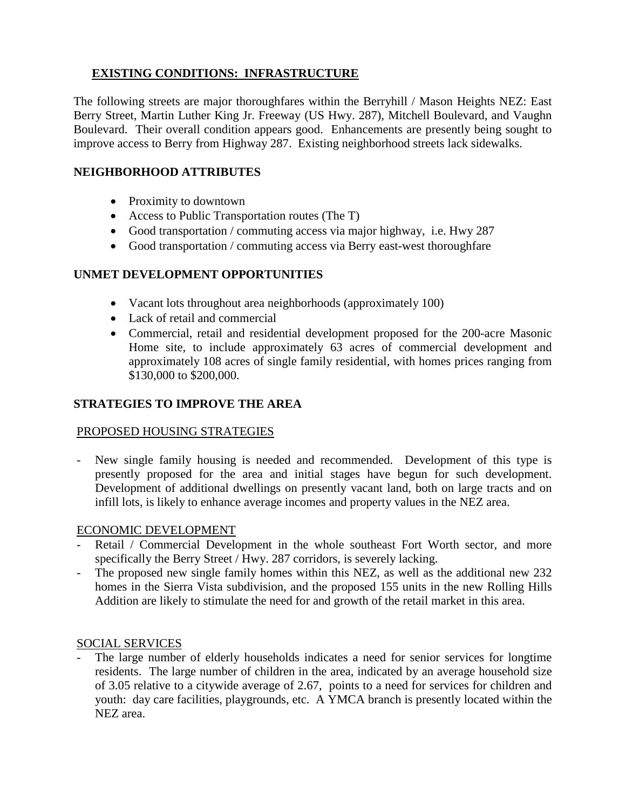# **EXISTING CONDITIONS: INFRASTRUCTURE**

The following streets are major thoroughfares within the Berryhill / Mason Heights NEZ: East Berry Street, Martin Luther King Jr. Freeway (US Hwy. 287), Mitchell Boulevard, and Vaughn Boulevard. Their overall condition appears good. Enhancements are presently being sought to improve access to Berry from Highway 287. Existing neighborhood streets lack sidewalks.

## **NEIGHBORHOOD ATTRIBUTES**

- Proximity to downtown
- Access to Public Transportation routes (The T)
- Good transportation / commuting access via major highway, i.e. Hwy 287
- Good transportation / commuting access via Berry east-west thoroughfare

# **UNMET DEVELOPMENT OPPORTUNITIES**

- Vacant lots throughout area neighborhoods (approximately 100)
- Lack of retail and commercial
- Commercial, retail and residential development proposed for the 200-acre Masonic Home site, to include approximately 63 acres of commercial development and approximately 108 acres of single family residential, with homes prices ranging from \$130,000 to \$200,000.

## **STRATEGIES TO IMPROVE THE AREA**

### PROPOSED HOUSING STRATEGIES

- New single family housing is needed and recommended. Development of this type is presently proposed for the area and initial stages have begun for such development. Development of additional dwellings on presently vacant land, both on large tracts and on infill lots, is likely to enhance average incomes and property values in the NEZ area.

### ECONOMIC DEVELOPMENT

- Retail / Commercial Development in the whole southeast Fort Worth sector, and more specifically the Berry Street / Hwy. 287 corridors, is severely lacking.
- The proposed new single family homes within this NEZ, as well as the additional new 232 homes in the Sierra Vista subdivision, and the proposed 155 units in the new Rolling Hills Addition are likely to stimulate the need for and growth of the retail market in this area.

### SOCIAL SERVICES

The large number of elderly households indicates a need for senior services for longtime residents. The large number of children in the area, indicated by an average household size of 3.05 relative to a citywide average of 2.67, points to a need for services for children and youth: day care facilities, playgrounds, etc. A YMCA branch is presently located within the NEZ area.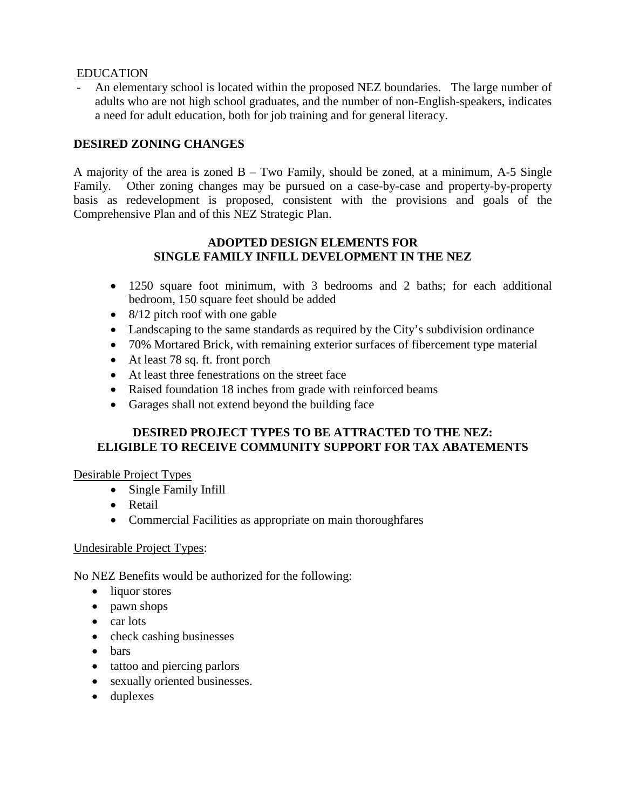#### EDUCATION

- An elementary school is located within the proposed NEZ boundaries. The large number of adults who are not high school graduates, and the number of non-English-speakers, indicates a need for adult education, both for job training and for general literacy.

# **DESIRED ZONING CHANGES**

A majority of the area is zoned B – Two Family, should be zoned, at a minimum, A-5 Single Family. Other zoning changes may be pursued on a case-by-case and property-by-property basis as redevelopment is proposed, consistent with the provisions and goals of the Comprehensive Plan and of this NEZ Strategic Plan.

#### **ADOPTED DESIGN ELEMENTS FOR SINGLE FAMILY INFILL DEVELOPMENT IN THE NEZ**

- 1250 square foot minimum, with 3 bedrooms and 2 baths; for each additional bedroom, 150 square feet should be added
- 8/12 pitch roof with one gable
- Landscaping to the same standards as required by the City's subdivision ordinance
- 70% Mortared Brick, with remaining exterior surfaces of fibercement type material
- At least 78 sq. ft. front porch
- At least three fenestrations on the street face
- Raised foundation 18 inches from grade with reinforced beams
- Garages shall not extend beyond the building face

# **DESIRED PROJECT TYPES TO BE ATTRACTED TO THE NEZ: ELIGIBLE TO RECEIVE COMMUNITY SUPPORT FOR TAX ABATEMENTS**

### Desirable Project Types

- Single Family Infill
- Retail
- Commercial Facilities as appropriate on main thoroughfares

#### Undesirable Project Types:

No NEZ Benefits would be authorized for the following:

- liquor stores
- pawn shops
- car lots
- check cashing businesses
- bars
- tattoo and piercing parlors
- sexually oriented businesses.
- duplexes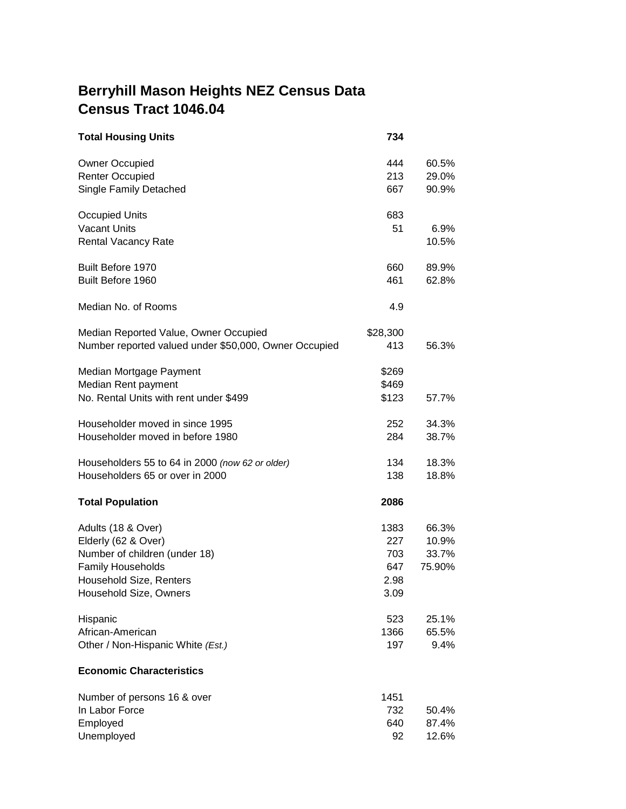# **Berryhill Mason Heights NEZ Census Data Census Tract 1046.04**

| <b>Total Housing Units</b>                            | 734      |        |
|-------------------------------------------------------|----------|--------|
| <b>Owner Occupied</b>                                 | 444      | 60.5%  |
| <b>Renter Occupied</b>                                | 213      | 29.0%  |
| <b>Single Family Detached</b>                         | 667      | 90.9%  |
| <b>Occupied Units</b>                                 | 683      |        |
| <b>Vacant Units</b>                                   | 51       | 6.9%   |
| <b>Rental Vacancy Rate</b>                            |          | 10.5%  |
| <b>Built Before 1970</b>                              | 660      | 89.9%  |
| Built Before 1960                                     | 461      | 62.8%  |
| Median No. of Rooms                                   | 4.9      |        |
| Median Reported Value, Owner Occupied                 | \$28,300 |        |
| Number reported valued under \$50,000, Owner Occupied | 413      | 56.3%  |
| Median Mortgage Payment                               | \$269    |        |
| Median Rent payment                                   | \$469    |        |
| No. Rental Units with rent under \$499                | \$123    | 57.7%  |
| Householder moved in since 1995                       | 252      | 34.3%  |
| Householder moved in before 1980                      | 284      | 38.7%  |
| Householders 55 to 64 in 2000 (now 62 or older)       | 134      | 18.3%  |
| Householders 65 or over in 2000                       | 138      | 18.8%  |
| <b>Total Population</b>                               | 2086     |        |
| Adults (18 & Over)                                    | 1383     | 66.3%  |
| Elderly (62 & Over)                                   | 227      | 10.9%  |
| Number of children (under 18)                         | 703      | 33.7%  |
| <b>Family Households</b>                              | 647      | 75.90% |
| Household Size, Renters                               | 2.98     |        |
| Household Size, Owners                                | 3.09     |        |
| Hispanic                                              | 523      | 25.1%  |
| African-American                                      | 1366     | 65.5%  |
| Other / Non-Hispanic White (Est.)                     | 197      | 9.4%   |
| <b>Economic Characteristics</b>                       |          |        |
| Number of persons 16 & over                           | 1451     |        |
| In Labor Force                                        | 732      | 50.4%  |
| Employed                                              | 640      | 87.4%  |
| Unemployed                                            | 92       | 12.6%  |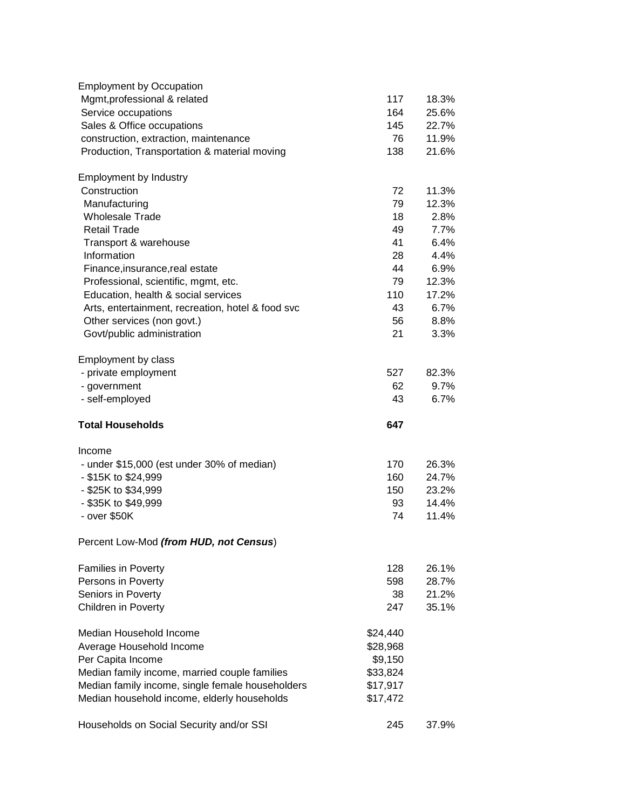| <b>Employment by Occupation</b>                                                 |           |               |
|---------------------------------------------------------------------------------|-----------|---------------|
| Mgmt, professional & related                                                    | 117       | 18.3%         |
| Service occupations                                                             | 164       | 25.6%         |
| Sales & Office occupations                                                      | 145       | 22.7%         |
| construction, extraction, maintenance                                           | 76        | 11.9%         |
| Production, Transportation & material moving                                    | 138       | 21.6%         |
| <b>Employment by Industry</b>                                                   |           |               |
| Construction                                                                    | 72        | 11.3%         |
| Manufacturing                                                                   | 79        | 12.3%         |
| <b>Wholesale Trade</b>                                                          | 18        | 2.8%          |
| <b>Retail Trade</b>                                                             | 49        | 7.7%          |
| Transport & warehouse                                                           | 41        | 6.4%          |
| Information                                                                     | 28        | 4.4%          |
| Finance, insurance, real estate                                                 | 44        | 6.9%          |
| Professional, scientific, mgmt, etc.                                            | 79<br>110 | 12.3%         |
| Education, health & social services                                             | 43        | 17.2%<br>6.7% |
| Arts, entertainment, recreation, hotel & food svc<br>Other services (non govt.) | 56        | 8.8%          |
| Govt/public administration                                                      | 21        | 3.3%          |
|                                                                                 |           |               |
| Employment by class                                                             |           |               |
| - private employment                                                            | 527       | 82.3%         |
| - government                                                                    | 62        | 9.7%          |
| - self-employed                                                                 | 43        | 6.7%          |
| <b>Total Households</b>                                                         | 647       |               |
| Income                                                                          |           |               |
| - under \$15,000 (est under 30% of median)                                      | 170       | 26.3%         |
| - \$15K to \$24,999                                                             | 160       | 24.7%         |
| - \$25K to \$34,999                                                             | 150       | 23.2%         |
| - \$35K to \$49,999                                                             | 93        | 14.4%         |
| - over \$50K                                                                    | 74        | 11.4%         |
| Percent Low-Mod (from HUD, not Census)                                          |           |               |
| <b>Families in Poverty</b>                                                      | 128       | 26.1%         |
| Persons in Poverty                                                              | 598       | 28.7%         |
| Seniors in Poverty                                                              | 38        | 21.2%         |
| <b>Children in Poverty</b>                                                      | 247       | 35.1%         |
| Median Household Income                                                         | \$24,440  |               |
| Average Household Income                                                        | \$28,968  |               |
| Per Capita Income                                                               | \$9,150   |               |
| Median family income, married couple families                                   | \$33,824  |               |
| Median family income, single female householders                                | \$17,917  |               |
| Median household income, elderly households                                     | \$17,472  |               |
| Households on Social Security and/or SSI                                        | 245       | 37.9%         |